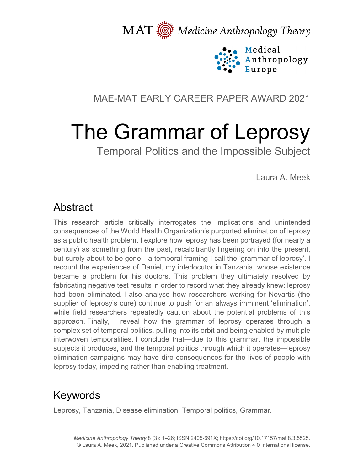MAT  $\overline{\text{M}}$  Medicine Anthropology Theory



### MAE-MAT EARLY CAREER PAPER AWARD 2021

# The Grammar of Leprosy

Temporal Politics and the Impossible Subject

Laura A. Meek

### Abstract

This research article critically interrogates the implications and unintended consequences of the World Health Organization's purported elimination of leprosy as a public health problem. I explore how leprosy has been portrayed (for nearly a century) as something from the past, recalcitrantly lingering on into the present, but surely about to be gone—a temporal framing I call the 'grammar of leprosy'. I recount the experiences of Daniel, my interlocutor in Tanzania, whose existence became a problem for his doctors. This problem they ultimately resolved by fabricating negative test results in order to record what they already knew: leprosy had been eliminated. I also analyse how researchers working for Novartis (the supplier of leprosy's cure) continue to push for an always imminent 'elimination', while field researchers repeatedly caution about the potential problems of this approach. Finally, I reveal how the grammar of leprosy operates through a complex set of temporal politics, pulling into its orbit and being enabled by multiple interwoven temporalities. I conclude that—due to this grammar, the impossible subjects it produces, and the temporal politics through which it operates—leprosy elimination campaigns may have dire consequences for the lives of people with leprosy today, impeding rather than enabling treatment.

# Keywords

Leprosy, Tanzania, Disease elimination, Temporal politics, Grammar.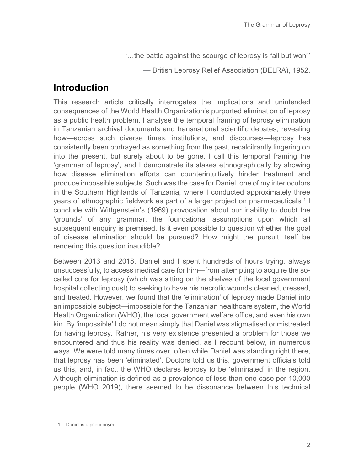'…the battle against the scourge of leprosy is "all but won"'

— British Leprosy Relief Association (BELRA), 1952.

#### **Introduction**

This research article critically interrogates the implications and unintended consequences of the World Health Organization's purported elimination of leprosy as a public health problem. I analyse the temporal framing of leprosy elimination in Tanzanian archival documents and transnational scientific debates, revealing how—across such diverse times, institutions, and discourses—leprosy has consistently been portrayed as something from the past, recalcitrantly lingering on into the present, but surely about to be gone. I call this temporal framing the 'grammar of leprosy', and I demonstrate its stakes ethnographically by showing how disease elimination efforts can counterintuitively hinder treatment and produce impossible subjects. Such was the case for Daniel, one of my interlocutors in the Southern Highlands of Tanzania, where I conducted approximately three years of ethnographic fieldwork as part of a larger project on pharmaceuticals.<sup>[1](#page-1-0)</sup> I conclude with Wittgenstein's (1969) provocation about our inability to doubt the 'grounds' of any grammar, the foundational assumptions upon which all subsequent enquiry is premised. Is it even possible to question whether the goal of disease elimination should be pursued? How might the pursuit itself be rendering this question inaudible?

Between 2013 and 2018, Daniel and I spent hundreds of hours trying, always unsuccessfully, to access medical care for him—from attempting to acquire the socalled cure for leprosy (which was sitting on the shelves of the local government hospital collecting dust) to seeking to have his necrotic wounds cleaned, dressed, and treated. However, we found that the 'elimination' of leprosy made Daniel into an impossible subject—impossible for the Tanzanian healthcare system, the World Health Organization (WHO), the local government welfare office, and even his own kin. By 'impossible' I do not mean simply that Daniel was stigmatised or mistreated for having leprosy. Rather, his very existence presented a problem for those we encountered and thus his reality was denied, as I recount below, in numerous ways. We were told many times over, often while Daniel was standing right there, that leprosy has been 'eliminated'. Doctors told us this, government officials told us this, and, in fact, the WHO declares leprosy to be 'eliminated' in the region. Although elimination is defined as a prevalence of less than one case per 10,000 people (WHO 2019), there seemed to be dissonance between this technical

<span id="page-1-0"></span><sup>1</sup> Daniel is a pseudonym.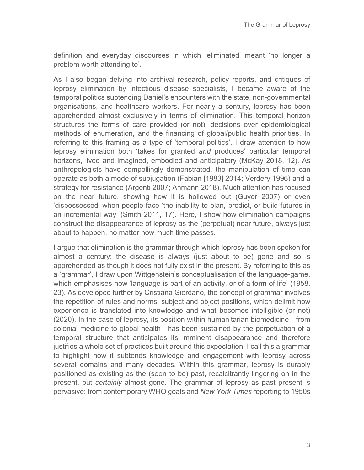definition and everyday discourses in which 'eliminated' meant 'no longer a problem worth attending to'.

As I also began delving into archival research, policy reports, and critiques of leprosy elimination by infectious disease specialists, I became aware of the temporal politics subtending Daniel's encounters with the state, non-governmental organisations, and healthcare workers. For nearly a century, leprosy has been apprehended almost exclusively in terms of elimination. This temporal horizon structures the forms of care provided (or not), decisions over epidemiological methods of enumeration, and the financing of global/public health priorities. In referring to this framing as a type of 'temporal politics', I draw attention to how leprosy elimination both 'takes for granted *and* produces' particular temporal horizons, lived and imagined, embodied and anticipatory (McKay 2018, 12). As anthropologists have compellingly demonstrated, the manipulation of time can operate as both a mode of subjugation (Fabian [1983] 2014; Verdery 1996) and a strategy for resistance (Argenti 2007; Ahmann 2018). Much attention has focused on the near future, showing how it is hollowed out (Guyer 2007) or even 'dispossessed' when people face 'the inability to plan, predict, or build futures in an incremental way' (Smith 2011, 17). Here, I show how elimination campaigns construct the disappearance of leprosy as the (perpetual) near future, always just about to happen, no matter how much time passes.

I argue that elimination is the grammar through which leprosy has been spoken for almost a century: the disease is always (just about to be) gone and so is apprehended as though it does not fully exist in the present. By referring to this as a 'grammar', I draw upon Wittgenstein's conceptualisation of the language-game, which emphasises how 'language is part of an activity, or of a form of life' (1958, 23). As developed further by Cristiana Giordano, the concept of grammar involves the repetition of rules and norms, subject and object positions, which delimit how experience is translated into knowledge and what becomes intelligible (or not) (2020). In the case of leprosy, its position within humanitarian biomedicine—from colonial medicine to global health—has been sustained by the perpetuation of a temporal structure that anticipates its imminent disappearance and therefore justifies a whole set of practices built around this expectation. I call this a grammar to highlight how it subtends knowledge and engagement with leprosy across several domains and many decades. Within this grammar, leprosy is durably positioned as existing as the (soon to be) past, recalcitrantly lingering on in the present, but *certainly* almost gone. The grammar of leprosy as past present is pervasive: from contemporary WHO goals and *New York Times* reporting to 1950s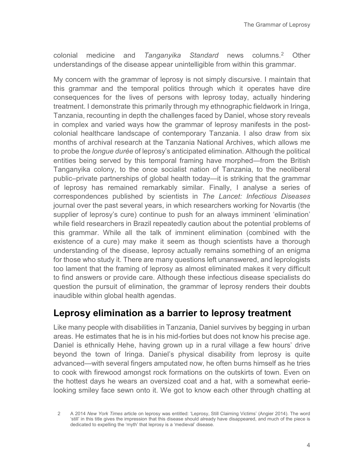colonial medicine and *Tanganyika Standard* news columns.[2](#page-3-0) Other understandings of the disease appear unintelligible from within this grammar.

My concern with the grammar of leprosy is not simply discursive. I maintain that this grammar and the temporal politics through which it operates have dire consequences for the lives of persons with leprosy today, actually hindering treatment. I demonstrate this primarily through my ethnographic fieldwork in Iringa, Tanzania, recounting in depth the challenges faced by Daniel, whose story reveals in complex and varied ways how the grammar of leprosy manifests in the postcolonial healthcare landscape of contemporary Tanzania. I also draw from six months of archival research at the Tanzania National Archives, which allows me to probe the *longue durée* of leprosy's anticipated elimination. Although the political entities being served by this temporal framing have morphed—from the British Tanganyika colony, to the once socialist nation of Tanzania, to the neoliberal public–private partnerships of global health today—it is striking that the grammar of leprosy has remained remarkably similar. Finally, I analyse a series of correspondences published by scientists in *The Lancet: Infectious Diseases*  journal over the past several years, in which researchers working for Novartis (the supplier of leprosy's cure) continue to push for an always imminent 'elimination' while field researchers in Brazil repeatedly caution about the potential problems of this grammar. While all the talk of imminent elimination (combined with the existence of a cure) may make it seem as though scientists have a thorough understanding of the disease, leprosy actually remains something of an enigma for those who study it. There are many questions left unanswered, and leprologists too lament that the framing of leprosy as almost eliminated makes it very difficult to find answers or provide care. Although these infectious disease specialists do question the pursuit of elimination, the grammar of leprosy renders their doubts inaudible within global health agendas.

### **Leprosy elimination as a barrier to leprosy treatment**

Like many people with disabilities in Tanzania, Daniel survives by begging in urban areas. He estimates that he is in his mid-forties but does not know his precise age. Daniel is ethnically Hehe, having grown up in a rural village a few hours' drive beyond the town of Iringa. Daniel's physical disability from leprosy is quite advanced—with several fingers amputated now, he often burns himself as he tries to cook with firewood amongst rock formations on the outskirts of town. Even on the hottest days he wears an oversized coat and a hat, with a somewhat eerielooking smiley face sewn onto it. We got to know each other through chatting at

<span id="page-3-0"></span><sup>2</sup> A 2014 *New York Times* article on leprosy was entitled: 'Leprosy, Still Claiming Victims' (Angier 2014). The word 'still' in this title gives the impression that this disease should already have disappeared, and much of the piece is dedicated to expelling the 'myth' that leprosy is a 'medieval' disease.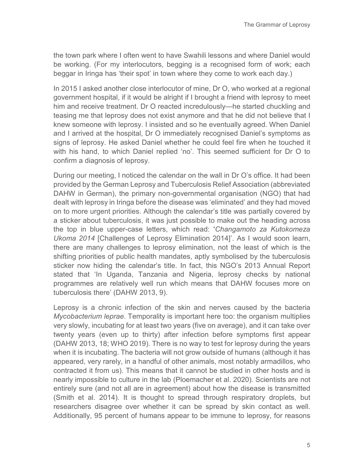the town park where I often went to have Swahili lessons and where Daniel would be working. (For my interlocutors, begging is a recognised form of work; each beggar in Iringa has 'their spot' in town where they come to work each day.)

In 2015 I asked another close interlocutor of mine, Dr O, who worked at a regional government hospital, if it would be alright if I brought a friend with leprosy to meet him and receive treatment. Dr O reacted incredulously—he started chuckling and teasing me that leprosy does not exist anymore and that he did not believe that I knew someone with leprosy. I insisted and so he eventually agreed. When Daniel and I arrived at the hospital, Dr O immediately recognised Daniel's symptoms as signs of leprosy. He asked Daniel whether he could feel fire when he touched it with his hand, to which Daniel replied 'no'. This seemed sufficient for Dr O to confirm a diagnosis of leprosy.

During our meeting, I noticed the calendar on the wall in Dr O's office. It had been provided by the German Leprosy and Tuberculosis Relief Association (abbreviated DAHW in German), the primary non-governmental organisation (NGO) that had dealt with leprosy in Iringa before the disease was 'eliminated' and they had moved on to more urgent priorities. Although the calendar's title was partially covered by a sticker about tuberculosis, it was just possible to make out the heading across the top in blue upper-case letters, which read: '*Changamoto za Kutokomeza Ukoma 2014* [Challenges of Leprosy Elimination 2014]'. As I would soon learn, there are many challenges to leprosy elimination, not the least of which is the shifting priorities of public health mandates, aptly symbolised by the tuberculosis sticker now hiding the calendar's title. In fact, this NGO's 2013 Annual Report stated that 'In Uganda, Tanzania and Nigeria, leprosy checks by national programmes are relatively well run which means that DAHW focuses more on tuberculosis there' (DAHW 2013, 9).

Leprosy is a chronic infection of the skin and nerves caused by the bacteria *Mycobacterium leprae*. Temporality is important here too: the organism multiplies very slowly, incubating for at least two years (five on average), and it can take over twenty years (even up to thirty) after infection before symptoms first appear (DAHW 2013, 18; WHO 2019). There is no way to test for leprosy during the years when it is incubating. The bacteria will not grow outside of humans (although it has appeared, very rarely, in a handful of other animals, most notably armadillos, who contracted it from us). This means that it cannot be studied in other hosts and is nearly impossible to culture in the lab (Ploemacher et al. 2020). Scientists are not entirely sure (and not all are in agreement) about how the disease is transmitted (Smith et al. 2014). It is thought to spread through respiratory droplets, but researchers disagree over whether it can be spread by skin contact as well. Additionally, 95 percent of humans appear to be immune to leprosy, for reasons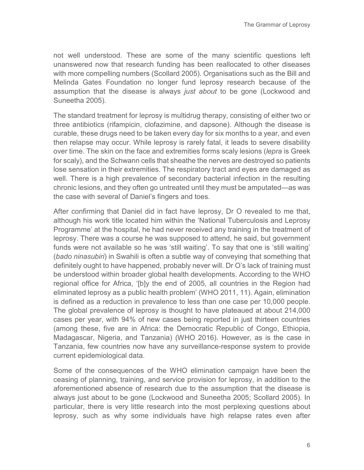not well understood. These are some of the many scientific questions left unanswered now that research funding has been reallocated to other diseases with more compelling numbers (Scollard 2005). Organisations such as the Bill and Melinda Gates Foundation no longer fund leprosy research because of the assumption that the disease is always *just about* to be gone (Lockwood and Suneetha 2005).

The standard treatment for leprosy is multidrug therapy, consisting of either two or three antibiotics (rifampicin, clofazimine, and dapsone). Although the disease is curable, these drugs need to be taken every day for six months to a year, and even then relapse may occur. While leprosy is rarely fatal, it leads to severe disability over time. The skin on the face and extremities forms scaly lesions (*lepra* is Greek for scaly), and the Schwann cells that sheathe the nerves are destroyed so patients lose sensation in their extremities. The respiratory tract and eyes are damaged as well. There is a high prevalence of secondary bacterial infection in the resulting chronic lesions, and they often go untreated until they must be amputated—as was the case with several of Daniel's fingers and toes.

After confirming that Daniel did in fact have leprosy, Dr O revealed to me that, although his work title located him within the 'National Tuberculosis and Leprosy Programme' at the hospital, he had never received any training in the treatment of leprosy. There was a course he was supposed to attend, he said, but government funds were not available so he was 'still waiting'. To say that one is 'still waiting' (*bado ninasubiri*) in Swahili is often a subtle way of conveying that something that definitely ought to have happened, probably never will. Dr O's lack of training must be understood within broader global health developments. According to the WHO regional office for Africa, '[b]y the end of 2005, all countries in the Region had eliminated leprosy as a public health problem' (WHO 2011, 11). Again, elimination is defined as a reduction in prevalence to less than one case per 10,000 people. The global prevalence of leprosy is thought to have plateaued at about 214,000 cases per year, with 94% of new cases being reported in just thirteen countries (among these, five are in Africa: the Democratic Republic of Congo, Ethiopia, Madagascar, Nigeria, and Tanzania) (WHO 2016). However, as is the case in Tanzania, few countries now have any surveillance-response system to provide current epidemiological data.

Some of the consequences of the WHO elimination campaign have been the ceasing of planning, training, and service provision for leprosy, in addition to the aforementioned absence of research due to the assumption that the disease is always just about to be gone (Lockwood and Suneetha 2005; Scollard 2005). In particular, there is very little research into the most perplexing questions about leprosy, such as why some individuals have high relapse rates even after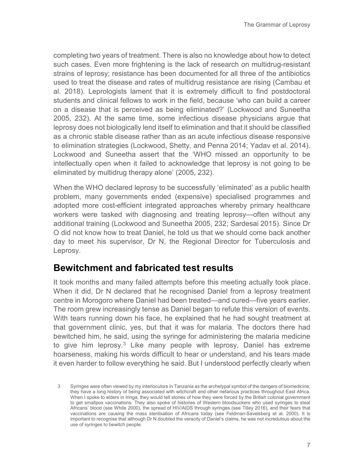completing two years of treatment. There is also no knowledge about how to detect such cases. Even more frightening is the lack of research on multidrug-resistant strains of leprosy; resistance has been documented for all three of the antibiotics used to treat the disease and rates of multidrug resistance are rising (Cambau et al. 2018). Leprologists lament that it is extremely difficult to find postdoctoral students and clinical fellows to work in the field, because 'who can build a career on a disease that is perceived as being eliminated?' (Lockwood and Suneetha 2005, 232). At the same time, some infectious disease physicians argue that leprosy does not biologically lend itself to elimination and that it should be classified as a chronic stable disease rather than as an acute infectious disease responsive to elimination strategies (Lockwood, Shetty, and Penna 2014; Yadav et al. 2014). Lockwood and Suneetha assert that the 'WHO missed an opportunity to be intellectually open when it failed to acknowledge that leprosy is not going to be eliminated by multidrug therapy alone' (2005, 232).

When the WHO declared leprosy to be successfully 'eliminated' as a public health problem, many governments ended (expensive) specialised programmes and adopted more cost-efficient integrated approaches whereby primary healthcare workers were tasked with diagnosing and treating leprosy—often without any additional training (Lockwood and Suneetha 2005, 232; Sardesai 2015). Since Dr O did not know how to treat Daniel, he told us that we should come back another day to meet his supervisor, Dr N, the Regional Director for Tuberculosis and Leprosy.

#### **Bewitchment and fabricated test results**

It took months and many failed attempts before this meeting actually took place. When it did, Dr N declared that he recognised Daniel from a leprosy treatment centre in Morogoro where Daniel had been treated—and cured—five years earlier. The room grew increasingly tense as Daniel began to refute this version of events. With tears running down his face, he explained that he had sought treatment at that government clinic, yes, but that it was for malaria. The doctors there had bewitched him, he said, using the syringe for administering the malaria medicine to give him leprosy.<sup>[3](#page-6-0)</sup> Like many people with leprosy, Daniel has extreme hoarseness, making his words difficult to hear or understand, and his tears made it even harder to follow everything he said. But I understood perfectly clearly when

<span id="page-6-0"></span><sup>3</sup> Syringes were often viewed by my interlocutors in Tanzania as the archetypal symbol of the dangers of biomedicine; they have a long history of being associated with witchcraft and other nefarious practices throughout East Africa. When I spoke to elders in Iringa, they would tell stories of how they were forced by the British colonial government to get smallpox vaccinations. They also spoke of histories of Western bloodsuckers who used syringes to steal Africans' blood (see White 2000), the spread of HIV/AIDS through syringes (see Tilley 2016), and their fears that vaccinations are causing the mass sterilisation of Africans today (see Feldman-Savelsberg et al. 2000). It is important to recognise that although Dr N doubted the veracity of Daniel's claims, he was not incredulous about the use of syringes to bewitch people.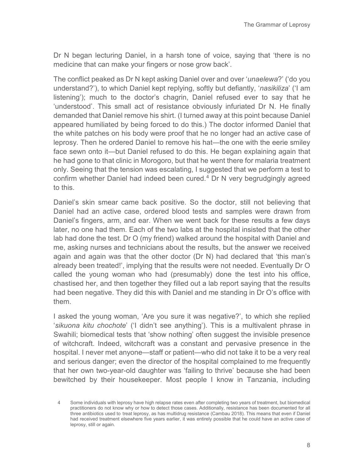Dr N began lecturing Daniel, in a harsh tone of voice, saying that 'there is no medicine that can make your fingers or nose grow back'.

The conflict peaked as Dr N kept asking Daniel over and over '*unaelewa*?' ('do you understand?'), to which Daniel kept replying, softly but defiantly, '*nasikiliza*' ('I am listening'); much to the doctor's chagrin, Daniel refused ever to say that he 'understood'. This small act of resistance obviously infuriated Dr N. He finally demanded that Daniel remove his shirt. (I turned away at this point because Daniel appeared humiliated by being forced to do this.) The doctor informed Daniel that the white patches on his body were proof that he no longer had an active case of leprosy. Then he ordered Daniel to remove his hat—the one with the eerie smiley face sewn onto it—but Daniel refused to do this. He began explaining again that he had gone to that clinic in Morogoro, but that he went there for malaria treatment only. Seeing that the tension was escalating, I suggested that we perform a test to confirm whether Daniel had indeed been cured.<sup>[4](#page-7-0)</sup> Dr N very begrudgingly agreed to this.

Daniel's skin smear came back positive. So the doctor, still not believing that Daniel had an active case, ordered blood tests and samples were drawn from Daniel's fingers, arm, and ear. When we went back for these results a few days later, no one had them. Each of the two labs at the hospital insisted that the other lab had done the test. Dr O (my friend) walked around the hospital with Daniel and me, asking nurses and technicians about the results, but the answer we received again and again was that the other doctor (Dr N) had declared that 'this man's already been treated!', implying that the results were not needed. Eventually Dr O called the young woman who had (presumably) done the test into his office, chastised her, and then together they filled out a lab report saying that the results had been negative. They did this with Daniel and me standing in Dr O's office with them.

I asked the young woman, 'Are you sure it was negative?', to which she replied '*sikuona kitu chochote*' ('I didn't see anything'). This is a multivalent phrase in Swahili; biomedical tests that 'show nothing' often suggest the invisible presence of witchcraft. Indeed, witchcraft was a constant and pervasive presence in the hospital. I never met anyone—staff or patient—who did not take it to be a very real and serious danger; even the director of the hospital complained to me frequently that her own two-year-old daughter was 'failing to thrive' because she had been bewitched by their housekeeper. Most people I know in Tanzania, including

<span id="page-7-0"></span><sup>4</sup> Some individuals with leprosy have high relapse rates even after completing two years of treatment, but biomedical practitioners do not know why or how to detect those cases. Additionally, resistance has been documented for all three antibiotics used to treat leprosy, as has multidrug resistance (Cambau 2018). This means that even if Daniel had received treatment elsewhere five years earlier, it was entirely possible that he could have an active case of leprosy, still or again.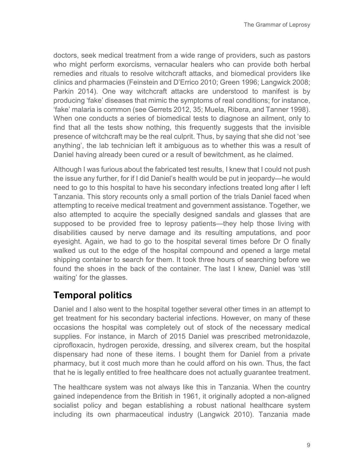doctors, seek medical treatment from a wide range of providers, such as pastors who might perform exorcisms, vernacular healers who can provide both herbal remedies and rituals to resolve witchcraft attacks, and biomedical providers like clinics and pharmacies (Feinstein and D'Errico 2010; Green 1996; Langwick 2008; Parkin 2014). One way witchcraft attacks are understood to manifest is by producing 'fake' diseases that mimic the symptoms of real conditions; for instance, 'fake' malaria is common (see Gerrets 2012, 35; Muela, Ribera, and Tanner 1998). When one conducts a series of biomedical tests to diagnose an ailment, only to find that all the tests show nothing, this frequently suggests that the invisible presence of witchcraft may be the real culprit. Thus, by saying that she did not 'see anything', the lab technician left it ambiguous as to whether this was a result of Daniel having already been cured or a result of bewitchment, as he claimed.

Although I was furious about the fabricated test results, I knew that I could not push the issue any further, for if I did Daniel's health would be put in jeopardy—he would need to go to this hospital to have his secondary infections treated long after I left Tanzania. This story recounts only a small portion of the trials Daniel faced when attempting to receive medical treatment and government assistance. Together, we also attempted to acquire the specially designed sandals and glasses that are supposed to be provided free to leprosy patients—they help those living with disabilities caused by nerve damage and its resulting amputations, and poor eyesight. Again, we had to go to the hospital several times before Dr O finally walked us out to the edge of the hospital compound and opened a large metal shipping container to search for them. It took three hours of searching before we found the shoes in the back of the container. The last I knew, Daniel was 'still waiting' for the glasses.

# **Temporal politics**

Daniel and I also went to the hospital together several other times in an attempt to get treatment for his secondary bacterial infections. However, on many of these occasions the hospital was completely out of stock of the necessary medical supplies. For instance, in March of 2015 Daniel was prescribed metronidazole, ciprofloxacin, hydrogen peroxide, dressing, and silverex cream, but the hospital dispensary had none of these items. I bought them for Daniel from a private pharmacy, but it cost much more than he could afford on his own. Thus, the fact that he is legally entitled to free healthcare does not actually guarantee treatment.

The healthcare system was not always like this in Tanzania. When the country gained independence from the British in 1961, it originally adopted a non-aligned socialist policy and began establishing a robust national healthcare system including its own pharmaceutical industry (Langwick 2010). Tanzania made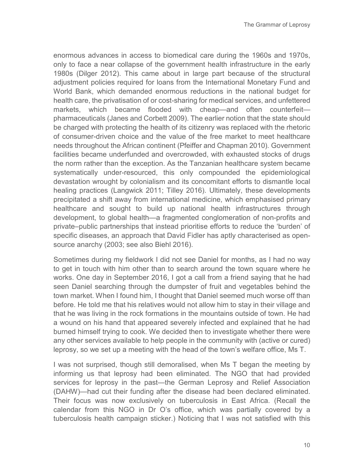enormous advances in access to biomedical care during the 1960s and 1970s, only to face a near collapse of the government health infrastructure in the early 1980s (Dilger 2012). This came about in large part because of the structural adjustment policies required for loans from the International Monetary Fund and World Bank, which demanded enormous reductions in the national budget for health care, the privatisation of or cost-sharing for medical services, and unfettered markets, which became flooded with cheap—and often counterfeit pharmaceuticals (Janes and Corbett 2009). The earlier notion that the state should be charged with protecting the health of its citizenry was replaced with the rhetoric of consumer-driven choice and the value of the free market to meet healthcare needs throughout the African continent (Pfeiffer and Chapman 2010). Government facilities became underfunded and overcrowded, with exhausted stocks of drugs the norm rather than the exception. As the Tanzanian healthcare system became systematically under-resourced, this only compounded the epidemiological devastation wrought by colonialism and its concomitant efforts to dismantle local healing practices (Langwick 2011; Tilley 2016). Ultimately, these developments precipitated a shift away from international medicine, which emphasised primary healthcare and sought to build up national health infrastructures through development, to global health—a fragmented conglomeration of non-profits and private–public partnerships that instead prioritise efforts to reduce the 'burden' of specific diseases, an approach that David Fidler has aptly characterised as opensource anarchy (2003; see also Biehl 2016).

Sometimes during my fieldwork I did not see Daniel for months, as I had no way to get in touch with him other than to search around the town square where he works. One day in September 2016, I got a call from a friend saying that he had seen Daniel searching through the dumpster of fruit and vegetables behind the town market. When I found him, I thought that Daniel seemed much worse off than before. He told me that his relatives would not allow him to stay in their village and that he was living in the rock formations in the mountains outside of town. He had a wound on his hand that appeared severely infected and explained that he had burned himself trying to cook. We decided then to investigate whether there were any other services available to help people in the community with (active or cured) leprosy, so we set up a meeting with the head of the town's welfare office, Ms T.

I was not surprised, though still demoralised, when Ms T began the meeting by informing us that leprosy had been eliminated. The NGO that had provided services for leprosy in the past—the German Leprosy and Relief Association (DAHW)—had cut their funding after the disease had been declared eliminated. Their focus was now exclusively on tuberculosis in East Africa. (Recall the calendar from this NGO in Dr O's office, which was partially covered by a tuberculosis health campaign sticker.) Noticing that I was not satisfied with this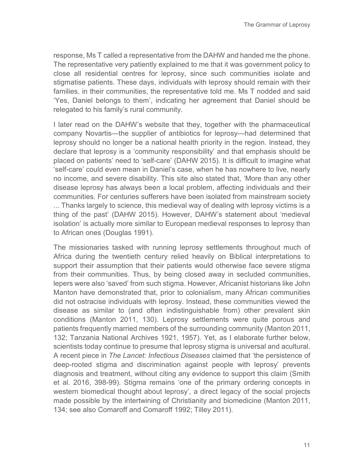response, Ms T called a representative from the DAHW and handed me the phone. The representative very patiently explained to me that it was government policy to close all residential centres for leprosy, since such communities isolate and stigmatise patients. These days, individuals with leprosy should remain with their families, in their communities, the representative told me. Ms T nodded and said 'Yes, Daniel belongs to them', indicating her agreement that Daniel should be relegated to his family's rural community.

I later read on the DAHW's website that they, together with the pharmaceutical company Novartis—the supplier of antibiotics for leprosy—had determined that leprosy should no longer be a national health priority in the region. Instead, they declare that leprosy is a 'community responsibility' and that emphasis should be placed on patients' need to 'self-care' (DAHW 2015). It is difficult to imagine what 'self-care' could even mean in Daniel's case, when he has nowhere to live, nearly no income, and severe disability. This site also stated that, 'More than any other disease leprosy has always been a local problem, affecting individuals and their communities. For centuries sufferers have been isolated from mainstream society ... Thanks largely to science, this medieval way of dealing with leprosy victims is a thing of the past' (DAHW 2015). However, DAHW's statement about 'medieval isolation' is actually more similar to European medieval responses to leprosy than to African ones (Douglas 1991).

The missionaries tasked with running leprosy settlements throughout much of Africa during the twentieth century relied heavily on Biblical interpretations to support their assumption that their patients would otherwise face severe stigma from their communities. Thus, by being closed away in secluded communities, lepers were also 'saved' from such stigma. However, Africanist historians like John Manton have demonstrated that, prior to colonialism, many African communities did not ostracise individuals with leprosy. Instead, these communities viewed the disease as similar to (and often indistinguishable from) other prevalent skin conditions (Manton 2011, 130). Leprosy settlements were quite porous and patients frequently married members of the surrounding community (Manton 2011, 132; Tanzania National Archives 1921, 1957). Yet, as I elaborate further below, scientists today continue to presume that leprosy stigma is universal and acultural. A recent piece in *The Lancet: Infectious Diseases* claimed that 'the persistence of deep-rooted stigma and discrimination against people with leprosy' prevents diagnosis and treatment, without citing any evidence to support this claim (Smith et al. 2016, 398-99). Stigma remains 'one of the primary ordering concepts in western biomedical thought about leprosy', a direct legacy of the social projects made possible by the intertwining of Christianity and biomedicine (Manton 2011, 134; see also Comaroff and Comaroff 1992; Tilley 2011).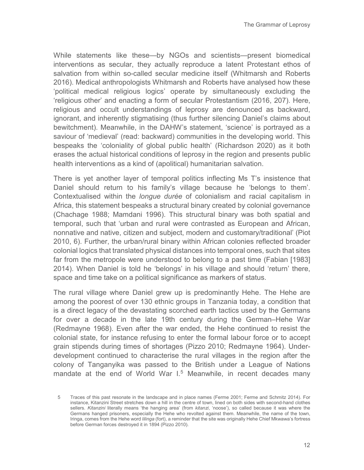While statements like these—by NGOs and scientists—present biomedical interventions as secular, they actually reproduce a latent Protestant ethos of salvation from within so-called secular medicine itself (Whitmarsh and Roberts 2016). Medical anthropologists Whitmarsh and Roberts have analysed how these 'political medical religious logics' operate by simultaneously excluding the 'religious other' and enacting a form of secular Protestantism (2016, 207). Here, religious and occult understandings of leprosy are denounced as backward, ignorant, and inherently stigmatising (thus further silencing Daniel's claims about bewitchment). Meanwhile, in the DAHW's statement, 'science' is portrayed as a saviour of 'medieval' (read: backward) communities in the developing world. This bespeaks the 'coloniality of global public health' (Richardson 2020) as it both erases the actual historical conditions of leprosy in the region and presents public health interventions as a kind of (apolitical) humanitarian salvation.

There is yet another layer of temporal politics inflecting Ms T's insistence that Daniel should return to his family's village because he 'belongs to them'. Contextualised within the *longue durée* of colonialism and racial capitalism in Africa, this statement bespeaks a structural binary created by colonial governance (Chachage 1988; Mamdani 1996). This structural binary was both spatial and temporal, such that 'urban and rural were contrasted as European and African, nonnative and native, citizen and subject, modern and customary/traditional' (Piot 2010, 6). Further, the urban/rural binary within African colonies reflected broader colonial logics that translated physical distances into temporal ones, such that sites far from the metropole were understood to belong to a past time (Fabian [1983] 2014). When Daniel is told he 'belongs' in his village and should 'return' there, space and time take on a political significance as markers of status.

The rural village where Daniel grew up is predominantly Hehe. The Hehe are among the poorest of over 130 ethnic groups in Tanzania today, a condition that is a direct legacy of the devastating scorched earth tactics used by the Germans for over a decade in the late 19th century during the German–Hehe War (Redmayne 1968). Even after the war ended, the Hehe continued to resist the colonial state, for instance refusing to enter the formal labour force or to accept grain stipends during times of shortages (Pizzo 2010; Redmayne 1964). Underdevelopment continued to characterise the rural villages in the region after the colony of Tanganyika was passed to the British under a League of Nations mandate at the end of World War  $1.5$  $1.5$  Meanwhile, in recent decades many

<span id="page-11-0"></span><sup>5</sup> Traces of this past resonate in the landscape and in place names (Ferme 2001; Ferme and Schmitz 2014). For instance, Kitanzini Street stretches down a hill in the centre of town, lined on both sides with second-hand clothes sellers. *Kitanzini* literally means 'the hanging area' (from *kitanzi*, 'noose'), so called because it was where the Germans hanged prisoners, especially the Hehe who revolted against them. Meanwhile, the name of the town, Iringa, comes from the Hehe word *lilinga* (fort), a reminder that the site was originally Hehe Chief Mkwawa's fortress before German forces destroyed it in 1894 (Pizzo 2010).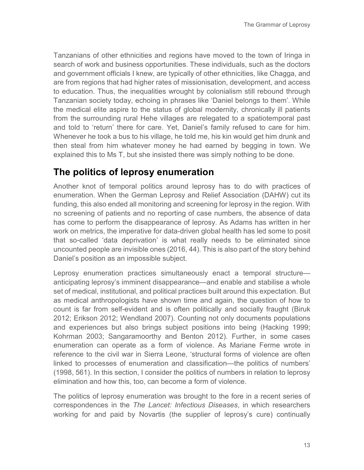Tanzanians of other ethnicities and regions have moved to the town of Iringa in search of work and business opportunities. These individuals, such as the doctors and government officials I knew, are typically of other ethnicities, like Chagga, and are from regions that had higher rates of missionisation, development, and access to education. Thus, the inequalities wrought by colonialism still rebound through Tanzanian society today, echoing in phrases like 'Daniel belongs to them'. While the medical elite aspire to the status of global modernity, chronically ill patients from the surrounding rural Hehe villages are relegated to a spatiotemporal past and told to 'return' there for care. Yet, Daniel's family refused to care for him. Whenever he took a bus to his village, he told me, his kin would get him drunk and then steal from him whatever money he had earned by begging in town. We explained this to Ms T, but she insisted there was simply nothing to be done.

### **The politics of leprosy enumeration**

Another knot of temporal politics around leprosy has to do with practices of enumeration. When the German Leprosy and Relief Association (DAHW) cut its funding, this also ended all monitoring and screening for leprosy in the region. With no screening of patients and no reporting of case numbers, the absence of data has come to perform the disappearance of leprosy. As Adams has written in her work on metrics, the imperative for data-driven global health has led some to posit that so-called 'data deprivation' is what really needs to be eliminated since uncounted people are invisible ones (2016, 44). This is also part of the story behind Daniel's position as an impossible subject.

Leprosy enumeration practices simultaneously enact a temporal structure anticipating leprosy's imminent disappearance—and enable and stabilise a whole set of medical, institutional, and political practices built around this expectation. But as medical anthropologists have shown time and again, the question of how to count is far from self-evident and is often politically and socially fraught (Biruk 2012; Erikson 2012; Wendland 2007). Counting not only documents populations and experiences but also brings subject positions into being (Hacking 1999; Kohrman 2003; Sangaramoorthy and Benton 2012). Further, in some cases enumeration can operate as a form of violence. As Mariane Ferme wrote in reference to the civil war in Sierra Leone, 'structural forms of violence are often linked to processes of enumeration and classification—the politics of numbers' (1998, 561). In this section, I consider the politics of numbers in relation to leprosy elimination and how this, too, can become a form of violence.

The politics of leprosy enumeration was brought to the fore in a recent series of correspondences in the *The Lancet: Infectious Diseases*, in which researchers working for and paid by Novartis (the supplier of leprosy's cure) continually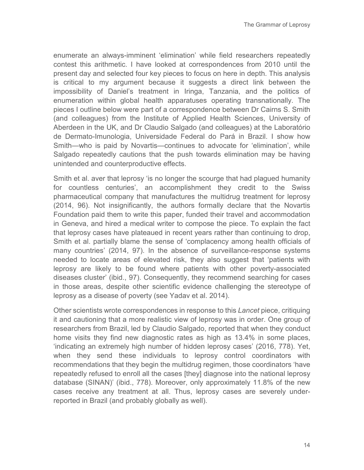enumerate an always-imminent 'elimination' while field researchers repeatedly contest this arithmetic. I have looked at correspondences from 2010 until the present day and selected four key pieces to focus on here in depth. This analysis is critical to my argument because it suggests a direct link between the impossibility of Daniel's treatment in Iringa, Tanzania, and the politics of enumeration within global health apparatuses operating transnationally. The pieces I outline below were part of a correspondence between Dr Cairns S. Smith (and colleagues) from the Institute of Applied Health Sciences, University of Aberdeen in the UK, and Dr Claudio Salgado (and colleagues) at the Laboratório de Dermato-Imunologia, Universidade Federal do Pará in Brazil. I show how Smith—who is paid by Novartis—continues to advocate for 'elimination', while Salgado repeatedly cautions that the push towards elimination may be having unintended and counterproductive effects.

Smith et al. aver that leprosy 'is no longer the scourge that had plagued humanity for countless centuries', an accomplishment they credit to the Swiss pharmaceutical company that manufactures the multidrug treatment for leprosy (2014, 96). Not insignificantly, the authors formally declare that the Novartis Foundation paid them to write this paper, funded their travel and accommodation in Geneva, and hired a medical writer to compose the piece. To explain the fact that leprosy cases have plateaued in recent years rather than continuing to drop, Smith et al. partially blame the sense of 'complacency among health officials of many countries' (2014, 97). In the absence of surveillance-response systems needed to locate areas of elevated risk, they also suggest that 'patients with leprosy are likely to be found where patients with other poverty-associated diseases cluster' (ibid., 97). Consequently, they recommend searching for cases in those areas, despite other scientific evidence challenging the stereotype of leprosy as a disease of poverty (see Yadav et al. 2014).

Other scientists wrote correspondences in response to this *Lancet* piece, critiquing it and cautioning that a more realistic view of leprosy was in order. One group of researchers from Brazil, led by Claudio Salgado, reported that when they conduct home visits they find new diagnostic rates as high as 13.4% in some places, 'indicating an extremely high number of hidden leprosy cases' (2016, 778). Yet, when they send these individuals to leprosy control coordinators with recommendations that they begin the multidrug regimen, those coordinators 'have repeatedly refused to enroll all the cases [they] diagnose into the national leprosy database (SINAN)' (ibid., 778). Moreover, only approximately 11.8% of the new cases receive any treatment at all. Thus, leprosy cases are severely underreported in Brazil (and probably globally as well).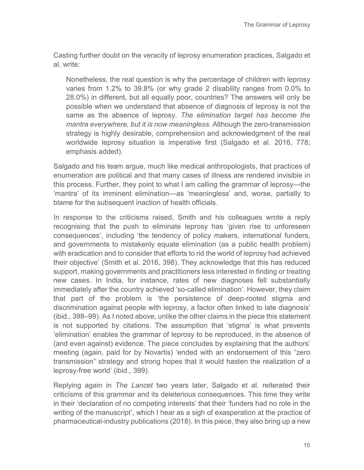Casting further doubt on the veracity of leprosy enumeration practices, Salgado et al. write:

Nonetheless, the real question is why the percentage of children with leprosy varies from 1.2% to 39.8% (or why grade 2 disability ranges from 0.0% to 28.0%) in different, but all equally poor, countries? The answers will only be possible when we understand that absence of diagnosis of leprosy is not the same as the absence of leprosy. *The elimination target has become the mantra everywhere, but it is now meaningless.* Although the zero-transmission strategy is highly desirable, comprehension and acknowledgment of the real worldwide leprosy situation is imperative first (Salgado et al. 2016, 778; emphasis added).

Salgado and his team argue, much like medical anthropologists, that practices of enumeration are political and that many cases of illness are rendered invisible in this process. Further, they point to what I am calling the grammar of leprosy—the 'mantra' of its imminent elimination—as 'meaningless' and, worse, partially to blame for the subsequent inaction of health officials.

In response to the criticisms raised, Smith and his colleagues wrote a reply recognising that the push to eliminate leprosy has 'given rise to unforeseen consequences', including 'the tendency of policy makers, international funders, and governments to mistakenly equate elimination (as a public health problem) with eradication and to consider that efforts to rid the world of leprosy had achieved their objective' (Smith et al. 2016, 398). They acknowledge that this has reduced support, making governments and practitioners less interested in finding or treating new cases. In India, for instance, rates of new diagnoses fell substantially immediately after the country achieved 'so-called elimination'. However, they claim that part of the problem is 'the persistence of deep-rooted stigma and discrimination against people with leprosy, a factor often linked to late diagnosis' (ibid., 398–99). As I noted above, unlike the other claims in the piece this statement is not supported by citations. The assumption that 'stigma' is what prevents 'elimination' enables the grammar of leprosy to be reproduced, in the absence of (and even against) evidence. The piece concludes by explaining that the authors' meeting (again, paid for by Novartis) 'ended with an endorsement of this "zero transmission" strategy and strong hopes that it would hasten the realization of a leprosy-free world' (ibid., 399).

Replying again in *The Lancet* two years later, Salgado et al. reiterated their criticisms of this grammar and its deleterious consequences. This time they write in their 'declaration of no competing interests' that their 'funders had no role in the writing of the manuscript', which I hear as a sigh of exasperation at the practice of pharmaceutical-industry publications (2018). In this piece, they also bring up a new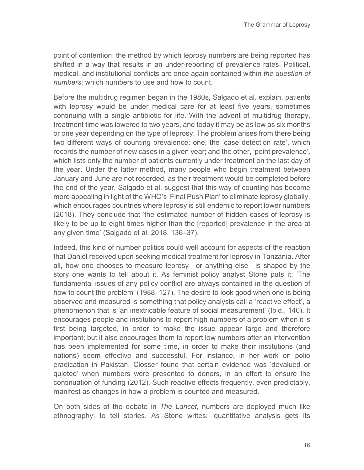point of contention: the method by which leprosy numbers are being reported has shifted in a way that results in an under-reporting of prevalence rates. Political, medical, and institutional conflicts are once again contained within *the question of numbers*: which numbers to use and how to count.

Before the multidrug regimen began in the 1980s, Salgado et al. explain, patients with leprosy would be under medical care for at least five years, sometimes continuing with a single antibiotic for life. With the advent of multidrug therapy, treatment time was lowered to two years, and today it may be as low as six months or one year depending on the type of leprosy. The problem arises from there being two different ways of counting prevalence: one, the 'case detection rate', which records the number of new cases in a given year; and the other, 'point prevalence', which lists only the number of patients currently under treatment on the last day of the year. Under the latter method, many people who begin treatment between January and June are not recorded, as their treatment would be completed before the end of the year. Salgado et al. suggest that this way of counting has become more appealing in light of the WHO's 'Final Push Plan' to eliminate leprosy globally, which encourages countries where leprosy is still endemic to report lower numbers (2018). They conclude that 'the estimated number of hidden cases of leprosy is likely to be up to eight times higher than the [reported] prevalence in the area at any given time' (Salgado et al. 2018, 136–37).

Indeed, this kind of number politics could well account for aspects of the reaction that Daniel received upon seeking medical treatment for leprosy in Tanzania. After all, how one chooses to measure leprosy—or anything else—is shaped by the story one wants to tell about it. As feminist policy analyst Stone puts it: 'The fundamental issues of any policy conflict are always contained in the question of how to count the problem' (1988, 127). The desire to look good when one is being observed and measured is something that policy analysts call a 'reactive effect', a phenomenon that is 'an inextricable feature of social measurement' (Ibid., 140). It encourages people and institutions to report high numbers of a problem when it is first being targeted, in order to make the issue appear large and therefore important; but it also encourages them to report low numbers after an intervention has been implemented for some time, in order to make their institutions (and nations) seem effective and successful. For instance, in her work on polio eradication in Pakistan, Closser found that certain evidence was 'devalued or quieted' when numbers were presented to donors, in an effort to ensure the continuation of funding (2012). Such reactive effects frequently, even predictably, manifest as changes in how a problem is counted and measured.

On both sides of the debate in *The Lancet*, numbers are deployed much like ethnography: to tell stories. As Stone writes: 'quantitative analysis gets its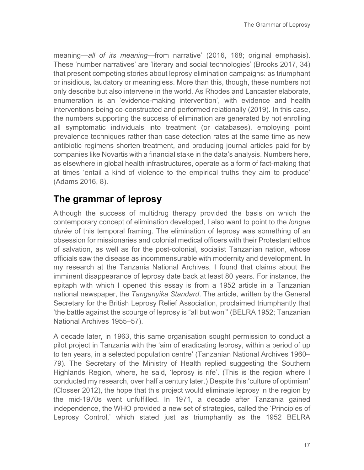meaning—*all of its meaning*—from narrative' (2016, 168; original emphasis). These 'number narratives' are 'literary and social technologies' (Brooks 2017, 34) that present competing stories about leprosy elimination campaigns: as triumphant or insidious, laudatory or meaningless. More than this, though, these numbers not only describe but also intervene in the world. As Rhodes and Lancaster elaborate, enumeration is an 'evidence-making intervention', with evidence and health interventions being co-constructed and performed relationally (2019). In this case, the numbers supporting the success of elimination are generated by not enrolling all symptomatic individuals into treatment (or databases), employing point prevalence techniques rather than case detection rates at the same time as new antibiotic regimens shorten treatment, and producing journal articles paid for by companies like Novartis with a financial stake in the data's analysis. Numbers here, as elsewhere in global health infrastructures, operate as a form of fact-making that at times 'entail a kind of violence to the empirical truths they aim to produce' (Adams 2016, 8).

# **The grammar of leprosy**

Although the success of multidrug therapy provided the basis on which the contemporary concept of elimination developed, I also want to point to the *longue durée* of this temporal framing. The elimination of leprosy was something of an obsession for missionaries and colonial medical officers with their Protestant ethos of salvation, as well as for the post-colonial, socialist Tanzanian nation, whose officials saw the disease as incommensurable with modernity and development. In my research at the Tanzania National Archives, I found that claims about the imminent disappearance of leprosy date back at least 80 years. For instance, the epitaph with which I opened this essay is from a 1952 article in a Tanzanian national newspaper, the *Tanganyika Standard*. The article, written by the General Secretary for the British Leprosy Relief Association, proclaimed triumphantly that 'the battle against the scourge of leprosy is "all but won"' (BELRA 1952; Tanzanian National Archives 1955–57).

A decade later, in 1963, this same organisation sought permission to conduct a pilot project in Tanzania with the 'aim of eradicating leprosy, within a period of up to ten years, in a selected population centre' (Tanzanian National Archives 1960– 79). The Secretary of the Ministry of Health replied suggesting the Southern Highlands Region, where, he said, 'leprosy is rife'. (This is the region where I conducted my research, over half a century later.) Despite this 'culture of optimism' (Closser 2012), the hope that this project would eliminate leprosy in the region by the mid-1970s went unfulfilled. In 1971, a decade after Tanzania gained independence, the WHO provided a new set of strategies, called the 'Principles of Leprosy Control,' which stated just as triumphantly as the 1952 BELRA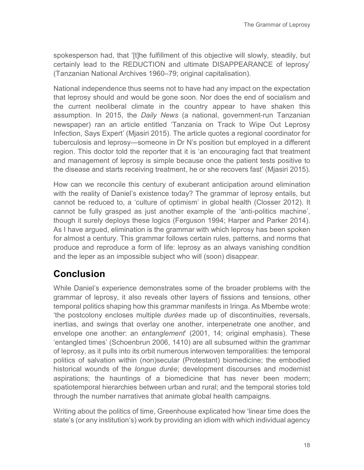spokesperson had, that '[t]he fulfillment of this objective will slowly, steadily, but certainly lead to the REDUCTION and ultimate DISAPPEARANCE of leprosy' (Tanzanian National Archives 1960–79; original capitalisation).

National independence thus seems not to have had any impact on the expectation that leprosy should and would be gone soon. Nor does the end of socialism and the current neoliberal climate in the country appear to have shaken this assumption. In 2015, the *Daily News* (a national, government-run Tanzanian newspaper) ran an article entitled 'Tanzania on Track to Wipe Out Leprosy Infection, Says Expert' (Mjasiri 2015). The article quotes a regional coordinator for tuberculosis and leprosy—someone in Dr N's position but employed in a different region. This doctor told the reporter that it is 'an encouraging fact that treatment and management of leprosy is simple because once the patient tests positive to the disease and starts receiving treatment, he or she recovers fast' (Mjasiri 2015).

How can we reconcile this century of exuberant anticipation around elimination with the reality of Daniel's existence today? The grammar of leprosy entails, but cannot be reduced to, a 'culture of optimism' in global health (Closser 2012). It cannot be fully grasped as just another example of the 'anti-politics machine', though it surely deploys these logics (Ferguson 1994; Harper and Parker 2014). As I have argued, elimination is the grammar with which leprosy has been spoken for almost a century. This grammar follows certain rules, patterns, and norms that produce and reproduce a form of life: leprosy as an always vanishing condition and the leper as an impossible subject who will (soon) disappear.

# **Conclusion**

While Daniel's experience demonstrates some of the broader problems with the grammar of leprosy, it also reveals other layers of fissions and tensions, other temporal politics shaping how this grammar manifests in Iringa. As Mbembe wrote: 'the postcolony encloses multiple *durées* made up of discontinuities, reversals, inertias, and swings that overlay one another, interpenetrate one another, and envelope one another: an *entanglement*' (2001, 14; original emphasis). These 'entangled times' (Schoenbrun 2006, 1410) are all subsumed within the grammar of leprosy, as it pulls into its orbit numerous interwoven temporalities: the temporal politics of salvation within (non)secular (Protestant) biomedicine; the embodied historical wounds of the *longue durée*; development discourses and modernist aspirations; the hauntings of a biomedicine that has never been modern; spatiotemporal hierarchies between urban and rural; and the temporal stories told through the number narratives that animate global health campaigns.

Writing about the politics of time, Greenhouse explicated how 'linear time does the state's (or any institution's) work by providing an idiom with which individual agency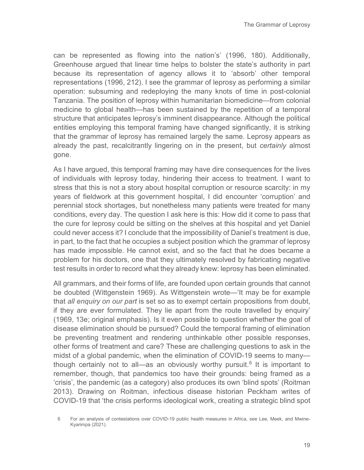can be represented as flowing into the nation's' (1996, 180). Additionally, Greenhouse argued that linear time helps to bolster the state's authority in part because its representation of agency allows it to 'absorb' other temporal representations (1996, 212). I see the grammar of leprosy as performing a similar operation: subsuming and redeploying the many knots of time in post-colonial Tanzania. The position of leprosy within humanitarian biomedicine—from colonial medicine to global health—has been sustained by the repetition of a temporal structure that anticipates leprosy's imminent disappearance. Although the political entities employing this temporal framing have changed significantly, it is striking that the grammar of leprosy has remained largely the same. Leprosy appears as already the past, recalcitrantly lingering on in the present, but *certainly* almost gone.

As I have argued, this temporal framing may have dire consequences for the lives of individuals with leprosy today, hindering their access to treatment. I want to stress that this is not a story about hospital corruption or resource scarcity: in my years of fieldwork at this government hospital, I did encounter 'corruption' and perennial stock shortages, but nonetheless many patients were treated for many conditions, every day. The question I ask here is this: How did it come to pass that the cure for leprosy could be sitting on the shelves at this hospital and yet Daniel could never access it? I conclude that the impossibility of Daniel's treatment is due, in part, to the fact that he occupies a subject position which the grammar of leprosy has made impossible. He cannot exist, and so the fact that he does became a problem for his doctors, one that they ultimately resolved by fabricating negative test results in order to record what they already knew: leprosy has been eliminated.

All grammars, and their forms of life, are founded upon certain grounds that cannot be doubted (Wittgenstein 1969). As Wittgenstein wrote—'It may be for example that *all enquiry on our part* is set so as to exempt certain propositions from doubt, if they are ever formulated. They lie apart from the route travelled by enquiry' (1969, 13e; original emphasis). Is it even possible to question whether the goal of disease elimination should be pursued? Could the temporal framing of elimination be preventing treatment and rendering unthinkable other possible responses, other forms of treatment and care? These are challenging questions to ask in the midst of a global pandemic, when the elimination of COVID-19 seems to many— though certainly not to all—as an obviously worthy pursuit.<sup>[6](#page-18-0)</sup> It is important to remember, though, that pandemics too have their grounds: being framed as a 'crisis', the pandemic (as a category) also produces its own 'blind spots' (Roitman 2013). Drawing on Roitman, infectious disease historian Peckham writes of COVID-19 that 'the crisis performs ideological work, creating a strategic blind spot

<span id="page-18-0"></span><sup>6</sup> For an analysis of contestations over COVID-19 public health measures in Africa, see Lee, Meek, and Mwine-Kyarimpa (2021).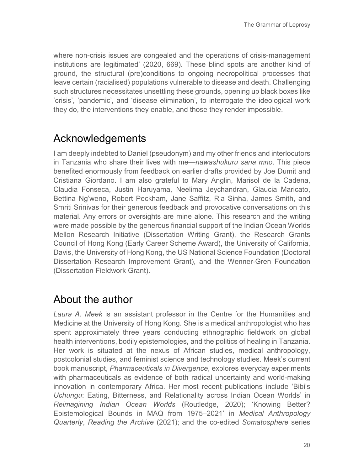where non-crisis issues are congealed and the operations of crisis-management institutions are legitimated' (2020, 669). These blind spots are another kind of ground, the structural (pre)conditions to ongoing necropolitical processes that leave certain (racialised) populations vulnerable to disease and death. Challenging such structures necessitates unsettling these grounds, opening up black boxes like 'crisis', 'pandemic', and 'disease elimination', to interrogate the ideological work they do, the interventions they enable, and those they render impossible.

# Acknowledgements

I am deeply indebted to Daniel (pseudonym) and my other friends and interlocutors in Tanzania who share their lives with me—*nawashukuru sana mno*. This piece benefited enormously from feedback on earlier drafts provided by Joe Dumit and Cristiana Giordano. I am also grateful to Mary Anglin, Marisol de la Cadena, Claudia Fonseca, Justin Haruyama, Neelima Jeychandran, Glaucia Maricato, Bettina Ng'weno, Robert Peckham, Jane Saffitz, Ria Sinha, James Smith, and Smriti Srinivas for their generous feedback and provocative conversations on this material. Any errors or oversights are mine alone. This research and the writing were made possible by the generous financial support of the Indian Ocean Worlds Mellon Research Initiative (Dissertation Writing Grant), the Research Grants Council of Hong Kong (Early Career Scheme Award), the University of California, Davis, the University of Hong Kong, the US National Science Foundation (Doctoral Dissertation Research Improvement Grant), and the Wenner-Gren Foundation (Dissertation Fieldwork Grant).

# About the author

*Laura A. Meek* is an assistant professor in the Centre for the Humanities and Medicine at the University of Hong Kong. She is a medical anthropologist who has spent approximately three years conducting ethnographic fieldwork on global health interventions, bodily epistemologies, and the politics of healing in Tanzania. Her work is situated at the nexus of African studies, medical anthropology, postcolonial studies, and feminist science and technology studies. Meek's current book manuscript, *Pharmaceuticals in Divergence*, explores everyday experiments with pharmaceuticals as evidence of both radical uncertainty and world-making innovation in contemporary Africa. Her most recent publications include 'Bibi's *Uchungu*: Eating, Bitterness, and Relationality across Indian Ocean Worlds' in *Reimagining Indian Ocean Worlds* (Routledge, 2020); 'Knowing Better? Epistemological Bounds in MAQ from 1975–2021' in *Medical Anthropology Quarterly*, *Reading the Archive* (2021); and the co-edited *Somatosphere* series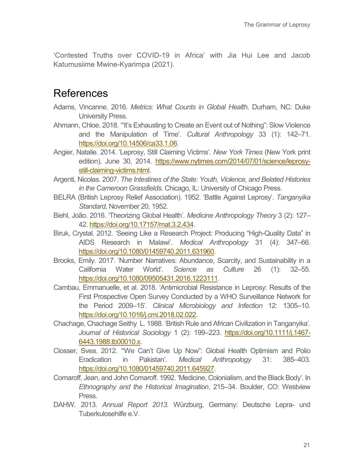'Contested Truths over COVID-19 in Africa' with Jia Hui Lee and Jacob Katumusiime Mwine-Kyarimpa (2021).

### References

- Adams, Vincanne. 2016. *Metrics: What Counts in Global Health*. Durham, NC: Duke University Press.
- Ahmann, Chloe. 2018. '"It's Exhausting to Create an Event out of Nothing": Slow Violence and the Manipulation of Time'. *Cultural Anthropology* 33 (1): 142–71. [https://doi.org/10.14506/ca33.1.06.](https://doi.org/10.14506/ca33.1.06)
- Angier, Natalie. 2014. 'Leprosy, Still Claiming Victims'. *New York Times* (New York print edition), June 30, 2014. [https://www.nytimes.com/2014/07/01/science/leprosy](https://www.nytimes.com/2014/07/01/science/leprosy-still-claiming-victims.html)[still-claiming-victims.html.](https://www.nytimes.com/2014/07/01/science/leprosy-still-claiming-victims.html)
- Argenti, Nicolas. 2007. *The Intestines of the State: Youth, Violence, and Belated Histories in the Cameroon Grassfields*. Chicago, IL: University of Chicago Press.
- BELRA (British Leprosy Relief Association). 1952. 'Battle Against Leprosy'. *Tanganyika Standard,* November 20, 1952.
- Biehl, João. 2016. 'Theorizing Global Health'. *Medicine Anthropology Theory* 3 (2): 127– 42[. https://doi.org/10.17157/mat.3.2.434.](https://doi.org/10.17157/mat.3.2.434)
- Biruk, Crystal. 2012. 'Seeing Like a Research Project: Producing "High-Quality Data" in AIDS Research in Malawi'. *Medical Anthropology* 31 (4): 347–66. [https://doi.org/10.1080/01459740.2011.631960.](https://doi.org/10.1080/01459740.2011.631960)
- Brooks, Emily. 2017. 'Number Narratives: Abundance, Scarcity, and Sustainability in a California Water World'. *Science as Culture* 26 (1): 32–55. [https://doi.org/10.1080/09505431.2016.1223111.](https://doi.org/10.1080/09505431.2016.1223111)
- Cambau, Emmanuelle, et al. 2018. 'Antimicrobial Resistance in Leprosy: Results of the First Prospective Open Survey Conducted by a WHO Surveillance Network for the Period 2009–15'. *Clinical Microbiology and Infection* 12: 1305–10. [https://doi.org/10.1016/j.cmi.2018.02.022.](https://doi.org/10.1016/j.cmi.2018.02.022)
- Chachage, Chachage Seithy L. 1988. 'British Rule and African Civilization in Tanganyika'. *Journal of Historical Sociology* 1 (2): 199–223. [https://doi.org/10.1111/j.1467-](https://doi.org/10.1111/j.1467-6443.1988.tb00010.x) [6443.1988.tb00010.x.](https://doi.org/10.1111/j.1467-6443.1988.tb00010.x)
- Closser, Svea. 2012. '"We Can't Give Up Now": Global Health Optimism and Polio Eradication in Pakistan'. *Medical Anthropology* 31: 385–403. [https://doi.org/10.1080/01459740.2011.645927.](https://doi.org/10.1080/01459740.2011.645927)
- Comaroff, Jean, and John Comaroff. 1992. 'Medicine, Colonialism, and the Black Body'. In *Ethnography and the Historical Imagination*, 215–34. Boulder, CO: Westview Press.
- DAHW. 2013. *Annual Report 2013.* Würzburg, Germany: Deutsche Lepra- und Tuberkulosehilfe e.V.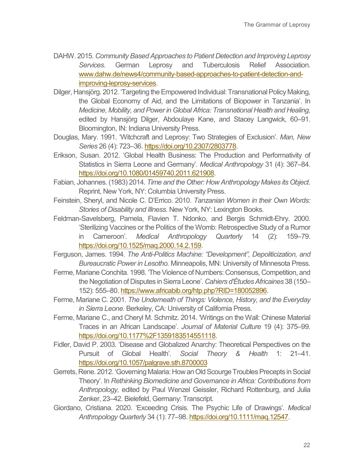- DAHW. 2015. *Community Based Approaches to Patient Detection and Improving Leprosy Services*. German Leprosy and Tuberculosis Relief Association. www.dahw.de/news4/community‐[based-approaches-to-patient-detection-and](http://www.dahw.de/news4/community%E2%80%90based-approaches-to-patient-detection-and-improving-leprosy-services)[improving-leprosy-services.](http://www.dahw.de/news4/community%E2%80%90based-approaches-to-patient-detection-and-improving-leprosy-services)
- Dilger, Hansjörg. 2012. 'Targeting the Empowered Individual: Transnational Policy Making, the Global Economy of Aid, and the Limitations of Biopower in Tanzania'. In *Medicine, Mobility, and Power in Global Africa: Transnational Health and Healing,* edited by Hansjörg Dilger, Abdoulaye Kane, and Stacey Langwick, 60–91. Bloomington, IN: Indiana University Press.
- Douglas, Mary. 1991. 'Witchcraft and Leprosy: Two Strategies of Exclusion'. *Man, New Series* 26 (4): 723–36. [https://doi.org/10.2307/2803778.](https://doi.org/10.2307/2803778)
- Erikson, Susan. 2012. 'Global Health Business: The Production and Performativity of Statistics in Sierra Leone and Germany'. *Medical Anthropology* 31 (4): 367–84. [https://doi.org/10.1080/01459740.2011.621908.](https://doi.org/10.1080/01459740.2011.621908)
- Fabian, Johannes. (1983) 2014. *Time and the Other: How Anthropology Makes its Object*. Reprint, New York, NY: Columbia University Press.
- Feinstein, Sheryl, and Nicole C. D'Errico. 2010. *Tanzanian Women in their Own Words: Stories of Disability and Illness.* New York, NY: Lexington Books.
- Feldman-Savelsberg, Pamela, Flavien T. Ndonko, and Bergis Schmidt-Ehry. 2000. 'Sterilizing Vaccines or the Politics of the Womb: Retrospective Study of a Rumor in Cameroon'. *Medical Anthropology Quarterly* 14 (2): 159–79. [https://doi.org/10.1525/maq.2000.14.2.159.](https://doi.org/10.1525/maq.2000.14.2.159)
- Ferguson, James. 1994. *The Anti-Politics Machine: "Development", Depoliticization, and Bureaucratic Power in Lesotho.* Minneapolis, MN: University of Minnesota Press.
- Ferme, Mariane Conchita. 1998. 'The Violence of Numbers: Consensus, Competition, and the Negotiation of Disputes in Sierra Leone'. *Cahiers d'Études Africaines* 38 (150– 152): 555–80. [https://www.africabib.org/htp.php?RID=180052896.](https://www.africabib.org/htp.php?RID=180052896)
- Ferme, Mariane C. 2001. *The Underneath of Things: Violence, History, and the Everyday in Sierra Leone.* Berkeley, CA: University of California Press.
- Ferme, Mariane C., and Cheryl M. Schmitz. 2014. 'Writings on the Wall: Chinese Material Traces in an African Landscape'. *Journal of Material Culture* 19 (4): 375–99. [https://doi.org/10.1177%2F1359183514551118.](https://doi.org/10.1177%2F1359183514551118)
- Fidler, David P. 2003. 'Disease and Globalized Anarchy: Theoretical Perspectives on the Pursuit of Global Health'. *Social Theory & Health* 1: 21–41. <https://doi.org/10.1057/palgrave.sth.8700003>
- Gerrets, Rene. 2012. 'Governing Malaria: How an Old Scourge Troubles Precepts in Social Theory'. In *Rethinking Biomedicine and Governance in Africa: Contributions from Anthropology,* edited by Paul Wenzel Geissler, Richard Rottenburg, and Julia Zenker, 23–42. Bielefeld, Germany: Transcript.
- Giordano, Cristiana. 2020. 'Exceeding Crisis. The Psychic Life of Drawings'. *Medical Anthropology Quarterly* 34 (1): 77–98[. https://doi.org/10.1111/maq.12547.](https://doi.org/10.1111/maq.12547)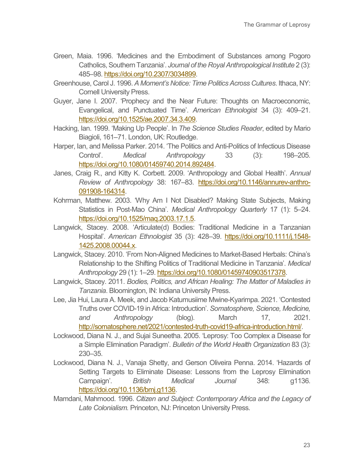- Green, Maia. 1996. 'Medicines and the Embodiment of Substances among Pogoro Catholics, Southern Tanzania'. *Journal of the Royal Anthropological Institute* 2 (3): 485–98[. https://doi.org/10.2307/3034899.](https://doi.org/10.2307/3034899)
- Greenhouse, Carol J. 1996. *A Moment's Notice: Time Politics Across Cultures*. Ithaca, NY: Cornell University Press.
- Guyer, Jane I. 2007. 'Prophecy and the Near Future: Thoughts on Macroeconomic, Evangelical, and Punctuated Time'. *American Ethnologist* 34 (3): 409–21. [https://doi.org/10.1525/ae.2007.34.3.409.](https://doi.org/10.1525/ae.2007.34.3.409)
- Hacking, Ian. 1999. 'Making Up People'. In *The Science Studies Reader*, edited by Mario Biagioli, 161–71. London, UK: Routledge.
- Harper, Ian, and Melissa Parker. 2014. 'The Politics and Anti-Politics of Infectious Disease Control'. *Medical Anthropology* 33 (3): 198–205. [https://doi.org/10.1080/01459740.2014.892484.](https://doi.org/10.1080/01459740.2014.892484)
- Janes, Craig R., and Kitty K. Corbett. 2009. 'Anthropology and Global Health'. *Annual Review of Anthropology* 38: 167–83. [https://doi.org/10.1146/annurev-anthro-](https://doi.org/10.1146/annurev-anthro-091908-164314)[091908-164314.](https://doi.org/10.1146/annurev-anthro-091908-164314)
- Kohrman, Matthew. 2003. 'Why Am I Not Disabled? Making State Subjects, Making Statistics in Post-Mao China'. *Medical Anthropology Quarterly* 17 (1): 5–24. [https://doi.org/10.1525/maq.2003.17.1.5.](https://doi.org/10.1525/maq.2003.17.1.5)
- Langwick, Stacey. 2008. 'Articulate(d) Bodies: Traditional Medicine in a Tanzanian Hospital'. *American Ethnologist* 35 (3): 428–39. [https://doi.org/10.1111/j.1548-](https://doi.org/10.1111/j.1548-1425.2008.00044.x) [1425.2008.00044.x.](https://doi.org/10.1111/j.1548-1425.2008.00044.x)
- Langwick, Stacey. 2010. 'From Non-Aligned Medicines to Market-Based Herbals: China's Relationship to the Shifting Politics of Traditional Medicine in Tanzania'. *Medical Anthropology* 29 (1): 1–29[. https://doi.org/10.1080/01459740903517378.](https://doi.org/10.1080/01459740903517378)
- Langwick, Stacey. 2011. *Bodies, Politics, and African Healing: The Matter of Maladies in Tanzania*. Bloomington, IN: Indiana University Press.
- Lee, Jia Hui, Laura A. Meek, and Jacob Katumusiime Mwine-Kyarimpa. 2021. 'Contested Truths over COVID-19 in Africa: Introduction'. *Somatosphere, Science, Medicine, and Anthropology* (blog). March 17, 2021. [http://somatosphere.net/2021/contested-truth-covid19-africa-introduction.html/.](http://somatosphere.net/2021/contested-truth-covid19-africa-introduction.html/)
- Lockwood, Diana N. J., and Sujai Suneetha. 2005. 'Leprosy: Too Complex a Disease for a Simple Elimination Paradigm'. *Bulletin of the World Health Organization* 83 (3): 230–35.
- Lockwood, Diana N. J., Vanaja Shetty, and Gerson Oliveira Penna. 2014. 'Hazards of Setting Targets to Eliminate Disease: Lessons from the Leprosy Elimination Campaign'. *British Medical Journal* 348: g1136. [https://doi.org/10.1136/bmj.g1136.](https://doi.org/10.1136/bmj.g1136)
- Mamdani, Mahmood. 1996. *Citizen and Subject: Contemporary Africa and the Legacy of Late Colonialism.* Princeton, NJ: Princeton University Press.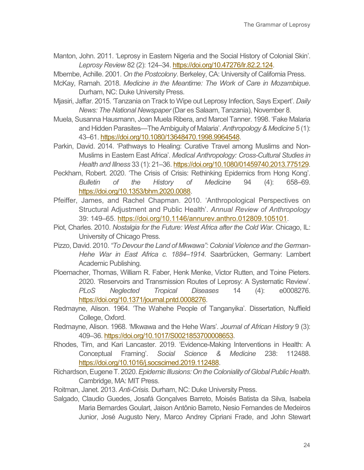- Manton, John. 2011. 'Leprosy in Eastern Nigeria and the Social History of Colonial Skin'. *Leprosy Review* 82 (2): 124–34[. https://doi.org/10.47276/lr.82.2.124.](https://doi.org/10.47276/lr.82.2.124)
- Mbembe, Achille. 2001. *On the Postcolony*. Berkeley, CA: University of California Press.
- McKay, Ramah. 2018. *Medicine in the Meantime: The Work of Care in Mozambique*. Durham, NC: Duke University Press.
- Mjasiri, Jaffar. 2015. 'Tanzania on Track to Wipe out Leprosy Infection, Says Expert'. *Daily News: The National Newspaper* (Dar es Salaam, Tanzania), November 8.
- Muela, Susanna Hausmann, Joan Muela Ribera, and Marcel Tanner. 1998. 'Fake Malaria and Hidden Parasites—The Ambiguity of Malaria'. *Anthropology & Medicine* 5 (1): 43–61. [https://doi.org/10.1080/13648470.1998.9964548.](https://doi.org/10.1080/13648470.1998.9964548)
- Parkin, David. 2014. 'Pathways to Healing: Curative Travel among Muslims and Non-Muslims in Eastern East Africa'. *Medical Anthropology: Cross-Cultural Studies in Health and Illness* 33 (1): 21–36[. https://doi.org/10.1080/01459740.2013.775129.](https://doi.org/10.1080/01459740.2013.775129)
- Peckham, Robert. 2020. 'The Crisis of Crisis: Rethinking Epidemics from Hong Kong'. *Bulletin of the History of Medicine* 94 (4): 658–69. [https://doi.org/10.1353/bhm.2020.0088.](https://doi.org/10.1353/bhm.2020.0088)
- Pfeiffer, James, and Rachel Chapman. 2010. 'Anthropological Perspectives on Structural Adjustment and Public Health'. *Annual Review of Anthropology*  39: 149–65. [https://doi.org/10.1146/annurev.anthro.012809.105101.](https://doi.org/10.1146/annurev.anthro.012809.105101)
- Piot, Charles. 2010. *Nostalgia for the Future: West Africa after the Cold War. Chicago*, IL: University of Chicago Press.
- Pizzo, David. 2010. *"To Devour the Land of Mkwawa": Colonial Violence and the German-Hehe War in East Africa c. 1884–1914*. Saarbrücken, Germany: Lambert Academic Publishing.
- Ploemacher, Thomas, William R. Faber, Henk Menke, Victor Rutten, and Toine Pieters. 2020. 'Reservoirs and Transmission Routes of Leprosy: A Systematic Review'. *PLoS Neglected Tropical Diseases* 14 (4): e0008276. [https://doi.org/10.1371/journal.pntd.0008276.](https://doi.org/10.1371/journal.pntd.0008276)
- Redmayne, Alison. 1964. 'The Wahehe People of Tanganyika'*.* Dissertation, Nuffield College, Oxford.
- Redmayne, Alison. 1968. 'Mkwawa and the Hehe Wars'. *Journal of African History* 9 (3): 409–36[. https://doi.org/10.1017/S0021853700008653.](https://doi.org/10.1017/S0021853700008653)
- Rhodes, Tim, and Kari Lancaster. 2019. 'Evidence-Making Interventions in Health: A Conceptual Framing'. *Social Science & Medicine* 238: 112488. [https://doi.org/10.1016/j.socscimed.2019.112488.](https://doi.org/10.1016/j.socscimed.2019.112488)
- Richardson, Eugene T. 2020. *Epidemic Illusions: On the Coloniality of Global Public Health*. Cambridge, MA: MIT Press.
- Roitman, Janet. 2013. *Anti-Crisis.* Durham, NC: Duke University Press.
- Salgado, Claudio Guedes, Josafá Gonçalves Barreto, Moisés Batista da Silva, Isabela Maria Bernardes Goulart, Jaison Antônio Barreto, Nesio Fernandes de Medeiros Junior, José Augusto Nery, Marco Andrey Cipriani Frade, and John Stewart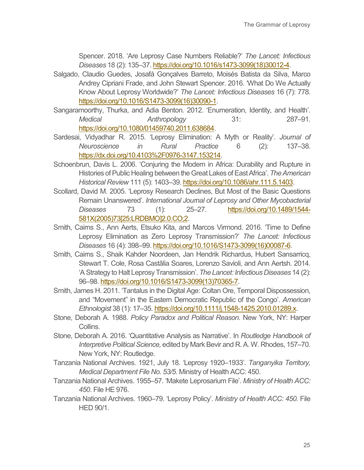Spencer. 2018. 'Are Leprosy Case Numbers Reliable?' *The Lancet: Infectious Diseases* 18 (2): 135–37[. https://doi.org/10.1016/s1473-3099\(18\)30012-4.](https://doi.org/10.1016/s1473-3099(18)30012-4)

- Salgado, Claudio Guedes, Josafá Gonçalves Barreto, Moisés Batista da Silva, Marco Andrey Cipriani Frade, and John Stewart Spencer. 2016. 'What Do We Actually Know About Leprosy Worldwide?' *The Lancet: Infectious Diseases* 16 (7): 778. [https://doi.org/10.1016/S1473-3099\(16\)30090-1.](https://doi.org/10.1016/S1473-3099(16)30090-1)
- Sangaramoorthy, Thurka, and Adia Benton. 2012. 'Enumeration, Identity, and Health'. *Medical Anthropology* 31: 287–91. [https://doi.org/10.1080/01459740.2011.638684.](https://doi.org/10.1080/01459740.2011.638684)
- Sardesai, Vidyadhar R. 2015. 'Leprosy Elimination: A Myth or Reality'. *Journal of Neuroscience in Rural Practice* 6 (2): 137–38. [https://dx.doi.org/10.4103%2F0976-3147.153214.](https://dx.doi.org/10.4103%2F0976-3147.153214)
- Schoenbrun, Davis L. 2006. 'Conjuring the Modern in Africa: Durability and Rupture in Histories of Public Healing between the Great Lakes of East Africa'. *The American Historical Review* 111 (5): 1403–39. [https://doi.org/10.1086/ahr.111.5.1403.](https://doi.org/10.1086/ahr.111.5.1403)
- Scollard, David M. 2005. 'Leprosy Research Declines, But Most of the Basic Questions Remain Unanswered'. *International Journal of Leprosy and Other Mycobacterial Diseases* 73 (1): 25–27. [https://doi.org/10.1489/1544-](https://doi.org/10.1489/1544-581X(2005)73%5b25:LRDBMO%5d2.0.CO;2) [581X\(2005\)73\[25:LRDBMO\]2.0.CO;2.](https://doi.org/10.1489/1544-581X(2005)73%5b25:LRDBMO%5d2.0.CO;2)
- Smith, Cairns S., Ann Aerts, Etsuko Kita, and Marcos Virmond. 2016. 'Time to Define Leprosy Elimination as Zero Leprosy Transmission?' *The Lancet: Infectious Diseases* 16 (4): 398–99. [https://doi.org/10.1016/S1473-3099\(16\)00087-6.](https://doi.org/10.1016/S1473-3099(16)00087-6)
- Smith, Cairns S., Shaik Kahder Noordeen, Jan Hendrik Richardus, Hubert Sansarricq, Stewart T. Cole, Rosa Castãlia Soares, Lorenzo Savioli, and Ann Aertsh. 2014. 'A Strategy to Halt Leprosy Transmission'. *The Lancet: Infectious Diseases* 14 (2): 96–98. [https://doi.org/10.1016/S1473-3099\(13\)70365-7.](https://doi.org/10.1016/S1473-3099(13)70365-7)
- Smith, James H. 2011. 'Tantalus in the Digital Age: Coltan Ore, Temporal Dispossession, and "Movement" in the Eastern Democratic Republic of the Congo'. *American Ethnologist* 38 (1): 17–35. [https://doi.org/10.1111/j.1548-1425.2010.01289.x.](https://doi.org/10.1111/j.1548-1425.2010.01289.x)
- Stone, Deborah A. 1988. *Policy Paradox and Political Reason.* New York, NY: Harper Collins.
- Stone, Deborah A. 2016. 'Quantitative Analysis as Narrative'. In *Routledge Handbook of Interpretive Political Science,* edited by Mark Bevir and R. A. W. Rhodes, 157–70. New York, NY: Routledge.
- Tanzania National Archives. 1921, July 18. 'Leprosy 1920–1933'. *Tanganyika Territory, Medical Department File No. 53/5*. Ministry of Health ACC: 450.
- Tanzania National Archives. 1955–57. 'Makete Leprosarium File'. *Ministry of Health ACC: 450*. File HE 976.
- Tanzania National Archives. 1960–79. 'Leprosy Policy'. *Ministry of Health ACC: 450.* File HED 90/1.